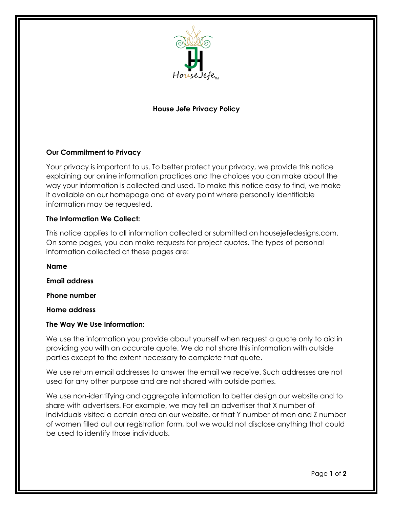

# **House Jefe Privacy Policy**

## **Our Commitment to Privacy**

Your privacy is important to us. To better protect your privacy, we provide this notice explaining our online information practices and the choices you can make about the way your information is collected and used. To make this notice easy to find, we make it available on our homepage and at every point where personally identifiable information may be requested.

## **The Information We Collect:**

This notice applies to all information collected or submitted on housejefedesigns.com. On some pages, you can make requests for project quotes. The types of personal information collected at these pages are:

**Name Email address** 

**Phone number** 

**Home address**

#### **The Way We Use Information:**

We use the information you provide about yourself when request a quote only to aid in providing you with an accurate quote. We do not share this information with outside parties except to the extent necessary to complete that quote.

We use return email addresses to answer the email we receive. Such addresses are not used for any other purpose and are not shared with outside parties.

We use non-identifying and aggregate information to better design our website and to share with advertisers. For example, we may tell an advertiser that X number of individuals visited a certain area on our website, or that Y number of men and Z number of women filled out our registration form, but we would not disclose anything that could be used to identify those individuals.

Page **1** of **2**